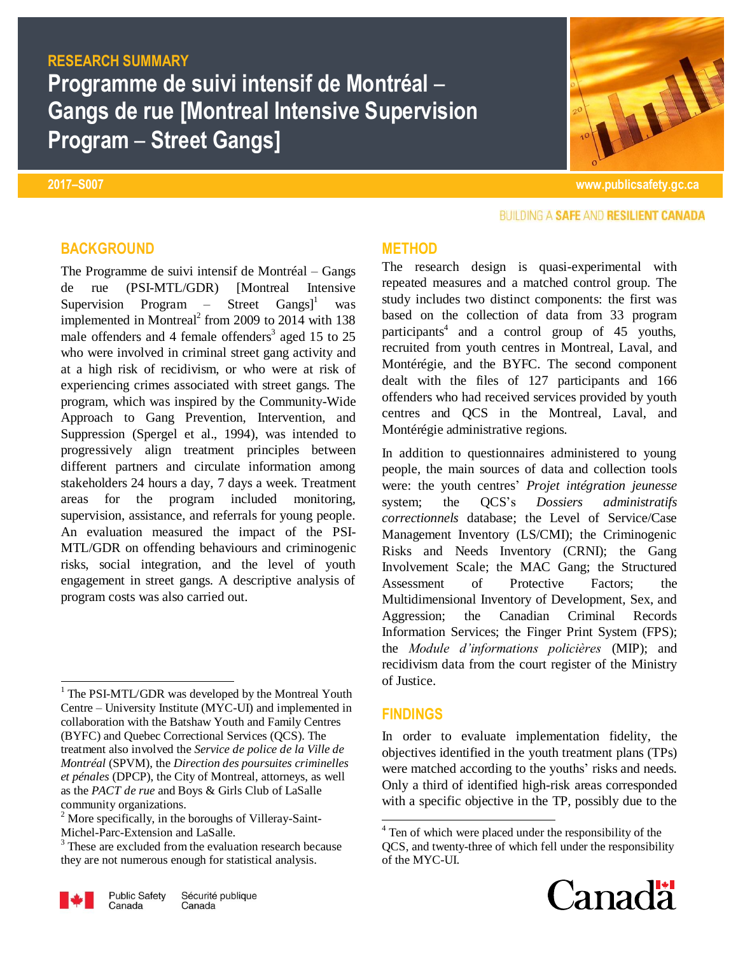# **RESEARCH SUMMARY**

**Programme de suivi intensif de Montréal** – **Gangs de rue [Montreal Intensive Supervision Program** – **Street Gangs]**

**2017–S007 www.publicsafety.gc.ca**

## BUILDING A SAFE AND RESILIENT CANADA

#### **BACKGROUND**

The Programme de suivi intensif de Montréal – Gangs de rue (PSI-MTL/GDR) [Montreal Intensive Supervision Program – Street Gangs<sup> $]$ </sup> was implemented in Montreal<sup>2</sup> from 2009 to 2014 with  $138$ male offenders and 4 female offenders<sup>3</sup> aged 15 to 25 who were involved in criminal street gang activity and at a high risk of recidivism, or who were at risk of experiencing crimes associated with street gangs. The program, which was inspired by the Community-Wide Approach to Gang Prevention, Intervention, and Suppression (Spergel et al., 1994), was intended to progressively align treatment principles between different partners and circulate information among stakeholders 24 hours a day, 7 days a week. Treatment areas for the program included monitoring, supervision, assistance, and referrals for young people. An evaluation measured the impact of the PSI-MTL/GDR on offending behaviours and criminogenic risks, social integration, and the level of youth engagement in street gangs. A descriptive analysis of program costs was also carried out.

<sup>&</sup>lt;sup>3</sup> These are excluded from the evaluation research because they are not numerous enough for statistical analysis.



 $\overline{\phantom{a}}$ 

#### **METHOD**

The research design is quasi-experimental with repeated measures and a matched control group. The study includes two distinct components: the first was based on the collection of data from 33 program participants<sup>4</sup> and a control group of 45 youths, recruited from youth centres in Montreal, Laval, and Montérégie, and the BYFC. The second component dealt with the files of 127 participants and 166 offenders who had received services provided by youth centres and QCS in the Montreal, Laval, and Montérégie administrative regions.

In addition to questionnaires administered to young people, the main sources of data and collection tools were: the youth centres' *Projet intégration jeunesse* system; the QCS's *Dossiers administratifs correctionnels* database; the Level of Service/Case Management Inventory (LS/CMI); the Criminogenic Risks and Needs Inventory (CRNI); the Gang Involvement Scale; the MAC Gang; the Structured Assessment of Protective Factors; the Multidimensional Inventory of Development, Sex, and Aggression; the Canadian Criminal Records Information Services; the Finger Print System (FPS); the *Module d'informations policières* (MIP); and recidivism data from the court register of the Ministry of Justice.

### **FINDINGS**

In order to evaluate implementation fidelity, the objectives identified in the youth treatment plans (TPs) were matched according to the youths' risks and needs. Only a third of identified high-risk areas corresponded with a specific objective in the TP, possibly due to the

 4 Ten of which were placed under the responsibility of the QCS, and twenty-three of which fell under the responsibility of the MYC-UI.



<sup>1</sup> The PSI-MTL/GDR was developed by the Montreal Youth Centre – University Institute (MYC-UI) and implemented in collaboration with the Batshaw Youth and Family Centres (BYFC) and Quebec Correctional Services (QCS). The treatment also involved the *Service de police de la Ville de Montréal* (SPVM), the *Direction des poursuites criminelles et pénales* (DPCP), the City of Montreal, attorneys, as well as the *PACT de rue* and Boys & Girls Club of LaSalle community organizations.

 $2$  More specifically, in the boroughs of Villeray-Saint-Michel-Parc-Extension and LaSalle.